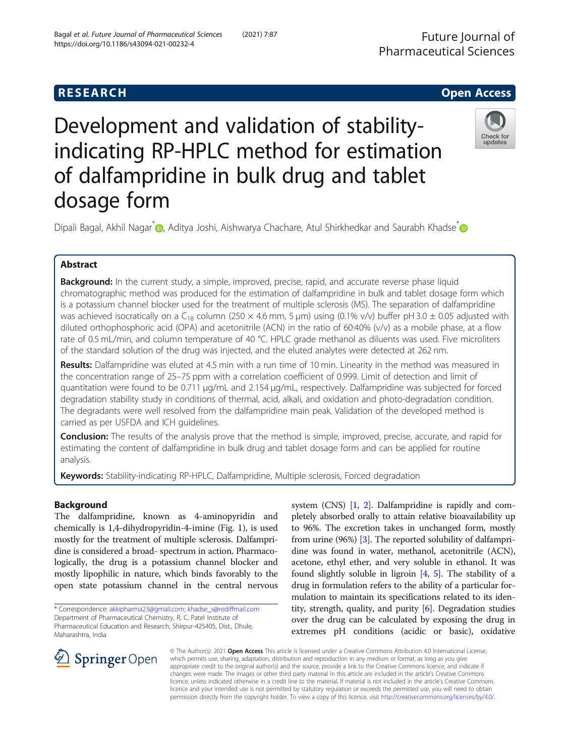Future Journal of Pharmaceutical Sciences

# **RESEARCH CHE Open Access**

# Development and validation of stabilityindicating RP-HPLC method for estimation of dalfampridine in bulk drug and tablet dosage form



Dipali Bagal[,](http://orcid.org/0000-0002-9266-8790) Akhil Nagar<sup>[\\*](https://orcid.org/0000-0002-9634-681X)</sup> , Aditya Joshi, Aishwarya Chachare, Atul Shirkhedkar and Saurabh Khadse<sup>\*</sup> a

# Abstract

Background: In the current study, a simple, improved, precise, rapid, and accurate reverse phase liquid chromatographic method was produced for the estimation of dalfampridine in bulk and tablet dosage form which is a potassium channel blocker used for the treatment of multiple sclerosis (MS). The separation of dalfampridine was achieved isocratically on a C<sub>18</sub> column (250  $\times$  4.6 mm, 5 µm) using (0.1% v/v) buffer pH 3.0  $\pm$  0.05 adjusted with diluted orthophosphoric acid (OPA) and acetonitrile (ACN) in the ratio of 60:40% (v/v) as a mobile phase, at a flow rate of 0.5 mL/min, and column temperature of 40 °C. HPLC grade methanol as diluents was used. Five microliters of the standard solution of the drug was injected, and the eluted analytes were detected at 262 nm.

Results: Dalfampridine was eluted at 4.5 min with a run time of 10 min. Linearity in the method was measured in the concentration range of 25–75 ppm with a correlation coefficient of 0.999. Limit of detection and limit of quantitation were found to be 0.711 μg/mL and 2.154 μg/mL, respectively. Dalfampridine was subjected for forced degradation stability study in conditions of thermal, acid, alkali, and oxidation and photo-degradation condition. The degradants were well resolved from the dalfampridine main peak. Validation of the developed method is carried as per USFDA and ICH guidelines.

Conclusion: The results of the analysis prove that the method is simple, improved, precise, accurate, and rapid for estimating the content of dalfampridine in bulk drug and tablet dosage form and can be applied for routine analysis.

Keywords: Stability-indicating RP-HPLC, Dalfampridine, Multiple sclerosis, Forced degradation

# Background

The dalfampridine, known as 4-aminopyridin and chemically is 1,4-dihydropyridin-4-imine (Fig. [1](#page-1-0)), is used mostly for the treatment of multiple sclerosis. Dalfampridine is considered a broad- spectrum in action. Pharmacologically, the drug is a potassium channel blocker and mostly lipophilic in nature, which binds favorably to the open state potassium channel in the central nervous

system (CNS) [[1,](#page-6-0) [2\]](#page-6-0). Dalfampridine is rapidly and completely absorbed orally to attain relative bioavailability up to 96%. The excretion takes in unchanged form, mostly from urine (96%) [\[3\]](#page-6-0). The reported solubility of dalfampridine was found in water, methanol, acetonitrile (ACN), acetone, ethyl ether, and very soluble in ethanol. It was found slightly soluble in ligroin [\[4,](#page-6-0) [5\]](#page-6-0). The stability of a drug in formulation refers to the ability of a particular formulation to maintain its specifications related to its identity, strength, quality, and purity [\[6](#page-6-0)]. Degradation studies over the drug can be calculated by exposing the drug in extremes pH conditions (acidic or basic), oxidative



© The Author(s). 2021 Open Access This article is licensed under a Creative Commons Attribution 4.0 International License, which permits use, sharing, adaptation, distribution and reproduction in any medium or format, as long as you give appropriate credit to the original author(s) and the source, provide a link to the Creative Commons licence, and indicate if changes were made. The images or other third party material in this article are included in the article's Creative Commons licence, unless indicated otherwise in a credit line to the material. If material is not included in the article's Creative Commons licence and your intended use is not permitted by statutory regulation or exceeds the permitted use, you will need to obtain permission directly from the copyright holder. To view a copy of this licence, visit <http://creativecommons.org/licenses/by/4.0/>.

<sup>\*</sup> Correspondence: [akkipharma23@gmail.com;](mailto:akkipharma23@gmail.com) [khadse\\_s@rediffmail.com](mailto:khadse_s@rediffmail.com) Department of Pharmaceutical Chemistry, R. C. Patel Institute of Pharmaceutical Education and Research, Shirpur-425405, Dist., Dhule, Maharashtra, India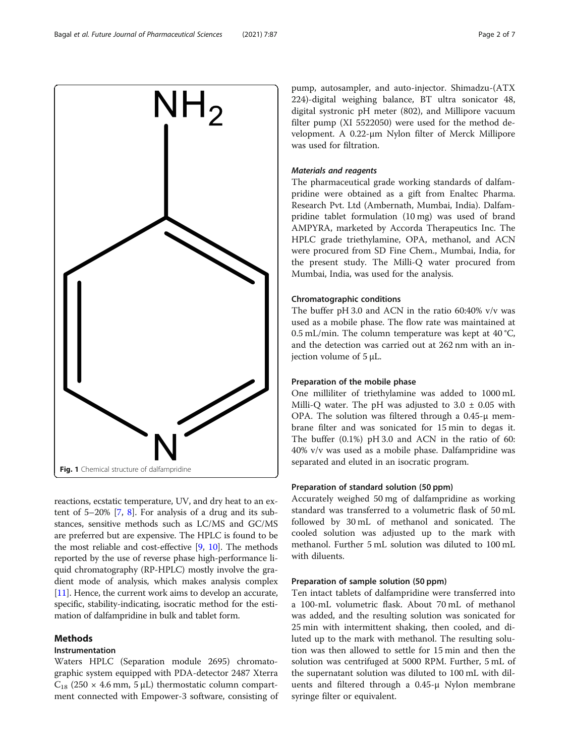<span id="page-1-0"></span>

reactions, ecstatic temperature, UV, and dry heat to an extent of 5–20% [\[7,](#page-6-0) [8\]](#page-6-0). For analysis of a drug and its substances, sensitive methods such as LC/MS and GC/MS are preferred but are expensive. The HPLC is found to be the most reliable and cost-effective [\[9,](#page-6-0) [10](#page-6-0)]. The methods reported by the use of reverse phase high-performance liquid chromatography (RP-HPLC) mostly involve the gradient mode of analysis, which makes analysis complex [[11](#page-6-0)]. Hence, the current work aims to develop an accurate, specific, stability-indicating, isocratic method for the estimation of dalfampridine in bulk and tablet form.

### Methods

### Instrumentation

Waters HPLC (Separation module 2695) chromatographic system equipped with PDA-detector 2487 Xterra  $C_{18}$  (250 × 4.6 mm, 5 µL) thermostatic column compartment connected with Empower-3 software, consisting of pump, autosampler, and auto-injector. Shimadzu-(ATX 224)-digital weighing balance, BT ultra sonicator 48, digital systronic pH meter (802), and Millipore vacuum filter pump (XI 5522050) were used for the method development. A 0.22-μm Nylon filter of Merck Millipore was used for filtration.

### Materials and reagents

The pharmaceutical grade working standards of dalfampridine were obtained as a gift from Enaltec Pharma. Research Pvt. Ltd (Ambernath, Mumbai, India). Dalfampridine tablet formulation (10 mg) was used of brand AMPYRA, marketed by Accorda Therapeutics Inc. The HPLC grade triethylamine, OPA, methanol, and ACN were procured from SD Fine Chem., Mumbai, India, for the present study. The Milli-Q water procured from Mumbai, India, was used for the analysis.

#### Chromatographic conditions

The buffer pH 3.0 and ACN in the ratio 60:40% v/v was used as a mobile phase. The flow rate was maintained at 0.5 mL/min. The column temperature was kept at  $40^{\circ}$ C, and the detection was carried out at 262 nm with an injection volume of 5 μL.

#### Preparation of the mobile phase

One milliliter of triethylamine was added to 1000 mL Milli-Q water. The pH was adjusted to  $3.0 \pm 0.05$  with OPA. The solution was filtered through a 0.45-μ membrane filter and was sonicated for 15 min to degas it. The buffer (0.1%) pH 3.0 and ACN in the ratio of 60: 40% v/v was used as a mobile phase. Dalfampridine was separated and eluted in an isocratic program.

#### Preparation of standard solution (50 ppm)

Accurately weighed 50 mg of dalfampridine as working standard was transferred to a volumetric flask of 50 mL followed by 30 mL of methanol and sonicated. The cooled solution was adjusted up to the mark with methanol. Further 5 mL solution was diluted to 100 mL with diluents.

#### Preparation of sample solution (50 ppm)

Ten intact tablets of dalfampridine were transferred into a 100-mL volumetric flask. About 70 mL of methanol was added, and the resulting solution was sonicated for 25 min with intermittent shaking, then cooled, and diluted up to the mark with methanol. The resulting solution was then allowed to settle for 15 min and then the solution was centrifuged at 5000 RPM. Further, 5 mL of the supernatant solution was diluted to 100 mL with diluents and filtered through a 0.45-μ Nylon membrane syringe filter or equivalent.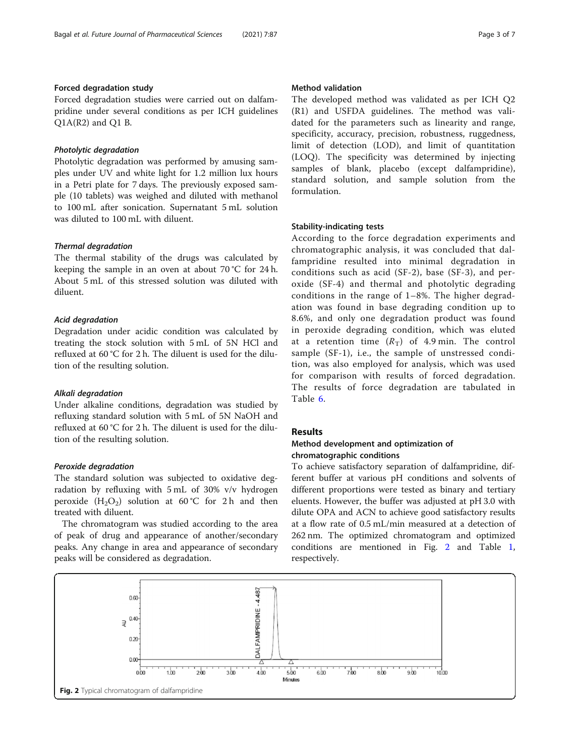# Forced degradation study

Forced degradation studies were carried out on dalfampridine under several conditions as per ICH guidelines Q1A(R2) and Q1 B.

#### Photolytic degradation

Photolytic degradation was performed by amusing samples under UV and white light for 1.2 million lux hours in a Petri plate for 7 days. The previously exposed sample (10 tablets) was weighed and diluted with methanol to 100 mL after sonication. Supernatant 5 mL solution was diluted to 100 mL with diluent.

#### Thermal degradation

The thermal stability of the drugs was calculated by keeping the sample in an oven at about 70 °C for 24 h. About 5 mL of this stressed solution was diluted with diluent.

#### Acid degradation

Degradation under acidic condition was calculated by treating the stock solution with 5 mL of 5N HCl and refluxed at 60 °C for 2 h. The diluent is used for the dilution of the resulting solution.

#### Alkali degradation

Under alkaline conditions, degradation was studied by refluxing standard solution with 5 mL of 5N NaOH and refluxed at 60 °C for 2 h. The diluent is used for the dilution of the resulting solution.

#### Peroxide degradation

The standard solution was subjected to oxidative degradation by refluxing with 5 mL of 30% v/v hydrogen peroxide  $(H_2O_2)$  solution at 60 °C for 2 h and then treated with diluent.

The chromatogram was studied according to the area of peak of drug and appearance of another/secondary peaks. Any change in area and appearance of secondary peaks will be considered as degradation.

#### Method validation

The developed method was validated as per ICH Q2 (R1) and USFDA guidelines. The method was validated for the parameters such as linearity and range, specificity, accuracy, precision, robustness, ruggedness, limit of detection (LOD), and limit of quantitation (LOQ). The specificity was determined by injecting samples of blank, placebo (except dalfampridine), standard solution, and sample solution from the formulation.

#### Stability-indicating tests

According to the force degradation experiments and chromatographic analysis, it was concluded that dalfampridine resulted into minimal degradation in conditions such as acid (SF-2), base (SF-3), and peroxide (SF-4) and thermal and photolytic degrading conditions in the range of 1–8%. The higher degradation was found in base degrading condition up to 8.6%, and only one degradation product was found in peroxide degrading condition, which was eluted at a retention time  $(R_T)$  of 4.9 min. The control sample (SF-1), i.e., the sample of unstressed condition, was also employed for analysis, which was used for comparison with results of forced degradation. The results of force degradation are tabulated in Table [6](#page-5-0).

# Results

### Method development and optimization of chromatographic conditions

To achieve satisfactory separation of dalfampridine, different buffer at various pH conditions and solvents of different proportions were tested as binary and tertiary eluents. However, the buffer was adjusted at pH 3.0 with dilute OPA and ACN to achieve good satisfactory results at a flow rate of 0.5 mL/min measured at a detection of 262 nm. The optimized chromatogram and optimized conditions are mentioned in Fig. 2 and Table [1](#page-3-0), respectively.

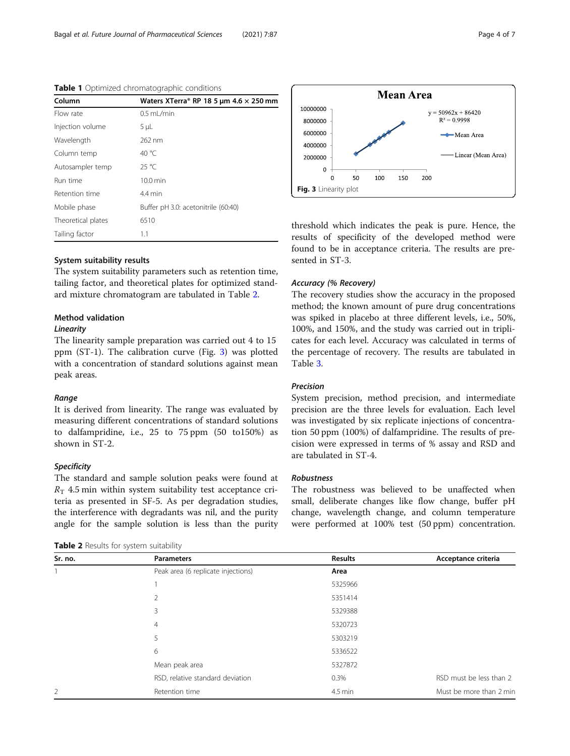<span id="page-3-0"></span>Table 1 Optimized chromatographic conditions

| Column             | Waters XTerra® RP 18 5 µm 4.6 $\times$ 250 mm |
|--------------------|-----------------------------------------------|
| Flow rate          | $0.5$ mL/min                                  |
| Injection volume   | $5 \mu L$                                     |
| Wavelength         | 262 nm                                        |
| Column temp        | 40 $^{\circ}$ C                               |
| Autosampler temp   | 25 °C                                         |
| Run time           | $10.0$ min                                    |
| Retention time     | $4.4$ min                                     |
| Mobile phase       | Buffer pH 3.0: acetonitrile (60:40)           |
| Theoretical plates | 6510                                          |
| Tailing factor     | 1.1                                           |

#### System suitability results

The system suitability parameters such as retention time, tailing factor, and theoretical plates for optimized standard mixture chromatogram are tabulated in Table 2.

#### Method validation

#### Linearity

The linearity sample preparation was carried out 4 to 15 ppm (ST-1). The calibration curve (Fig. 3) was plotted with a concentration of standard solutions against mean peak areas.

#### Range

It is derived from linearity. The range was evaluated by measuring different concentrations of standard solutions to dalfampridine, i.e., 25 to 75 ppm (50 to150%) as shown in ST-2.

#### **Specificity**

The standard and sample solution peaks were found at  $R<sub>T</sub>$  4.5 min within system suitability test acceptance criteria as presented in SF-5. As per degradation studies, the interference with degradants was nil, and the purity angle for the sample solution is less than the purity

| Table 2 Results for system suitability |  |  |
|----------------------------------------|--|--|
|----------------------------------------|--|--|



threshold which indicates the peak is pure. Hence, the results of specificity of the developed method were found to be in acceptance criteria. The results are presented in ST-3.

#### Accuracy (% Recovery)

The recovery studies show the accuracy in the proposed method; the known amount of pure drug concentrations was spiked in placebo at three different levels, i.e., 50%, 100%, and 150%, and the study was carried out in triplicates for each level. Accuracy was calculated in terms of the percentage of recovery. The results are tabulated in Table [3.](#page-4-0)

#### Precision

System precision, method precision, and intermediate precision are the three levels for evaluation. Each level was investigated by six replicate injections of concentration 50 ppm (100%) of dalfampridine. The results of precision were expressed in terms of % assay and RSD and are tabulated in ST-4.

#### Robustness

The robustness was believed to be unaffected when small, deliberate changes like flow change, buffer pH change, wavelength change, and column temperature were performed at 100% test (50 ppm) concentration.

| Sr. no.        | <b>Parameters</b>                  | <b>Results</b> | Acceptance criteria     |
|----------------|------------------------------------|----------------|-------------------------|
|                | Peak area (6 replicate injections) | Area           |                         |
|                |                                    | 5325966        |                         |
|                | 2                                  | 5351414        |                         |
|                | 3                                  | 5329388        |                         |
|                | $\overline{4}$                     | 5320723        |                         |
|                | 5                                  | 5303219        |                         |
|                | 6                                  | 5336522        |                         |
|                | Mean peak area                     | 5327872        |                         |
|                | RSD, relative standard deviation   | 0.3%           | RSD must be less than 2 |
| $\overline{2}$ | Retention time                     | 4.5 min        | Must be more than 2 min |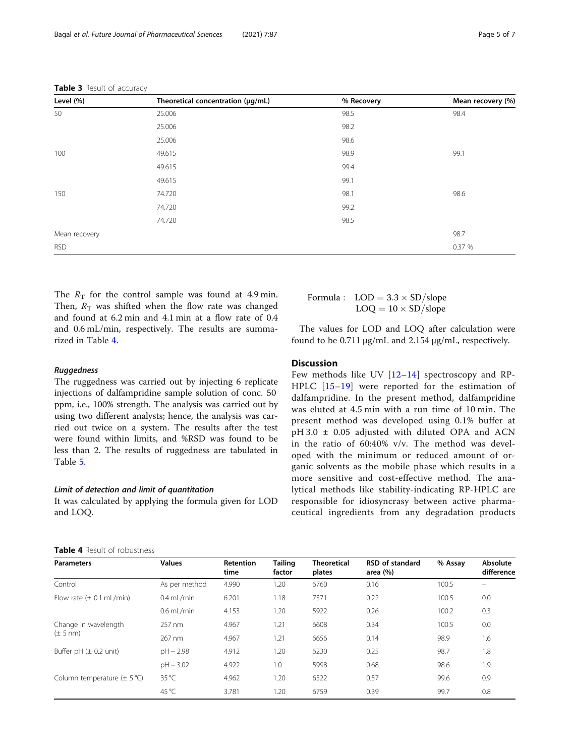<span id="page-4-0"></span>

|  |  |  | Table 3 Result of accuracy |
|--|--|--|----------------------------|
|--|--|--|----------------------------|

| Level (%)     | Theoretical concentration (µg/mL) | % Recovery | Mean recovery (%) |
|---------------|-----------------------------------|------------|-------------------|
| 50            | 25.006                            | 98.5       | 98.4              |
|               | 25.006                            | 98.2       |                   |
|               | 25.006                            | 98.6       |                   |
| 100           | 49.615                            | 98.9       | 99.1              |
|               | 49.615                            | 99.4       |                   |
|               | 49.615                            | 99.1       |                   |
| 150           | 74.720                            | 98.1       | 98.6              |
|               | 74.720                            | 99.2       |                   |
|               | 74.720                            | 98.5       |                   |
| Mean recovery |                                   |            | 98.7              |
| <b>RSD</b>    |                                   |            | 0.37 %            |

The  $R_T$  for the control sample was found at 4.9 min. Then,  $R_T$  was shifted when the flow rate was changed and found at 6.2 min and 4.1 min at a flow rate of 0.4 and 0.6 mL/min, respectively. The results are summarized in Table 4.

#### Ruggedness

The ruggedness was carried out by injecting 6 replicate injections of dalfampridine sample solution of conc. 50 ppm, i.e., 100% strength. The analysis was carried out by using two different analysts; hence, the analysis was carried out twice on a system. The results after the test were found within limits, and %RSD was found to be less than 2. The results of ruggedness are tabulated in Table [5.](#page-5-0)

#### Limit of detection and limit of quantitation

Table 4 Result of robustness

It was calculated by applying the formula given for LOD and LOQ.

| Formula : $\text{LOD} = 3.3 \times \text{SD/slope}$ |
|-----------------------------------------------------|
| $\text{LOQ} = 10 \times \text{SD/slope}$            |
|                                                     |

The values for LOD and LOQ after calculation were found to be 0.711 μg/mL and 2.154 μg/mL, respectively.

#### **Discussion**

Few methods like UV [[12](#page-6-0)–[14\]](#page-6-0) spectroscopy and RP-HPLC [[15](#page-6-0)–[19](#page-6-0)] were reported for the estimation of dalfampridine. In the present method, dalfampridine was eluted at 4.5 min with a run time of 10 min. The present method was developed using 0.1% buffer at pH 3.0 ± 0.05 adjusted with diluted OPA and ACN in the ratio of 60:40% v/v. The method was developed with the minimum or reduced amount of organic solvents as the mobile phase which results in a more sensitive and cost-effective method. The analytical methods like stability-indicating RP-HPLC are responsible for idiosyncrasy between active pharmaceutical ingredients from any degradation products

| <b>Parameters</b>                            | <b>Values</b>  | Retention<br>time | <b>Tailing</b><br>factor | <b>Theoretical</b><br>plates | <b>RSD</b> of standard<br>area $(%)$ | % Assay | Absolute<br>difference |
|----------------------------------------------|----------------|-------------------|--------------------------|------------------------------|--------------------------------------|---------|------------------------|
| Control                                      | As per method  | 4.990             | 1.20                     | 6760                         | 0.16                                 | 100.5   |                        |
| Flow rate $(\pm 0.1 \text{ mL/min})$         | $0.4$ mL/min   | 6.201             | 1.18                     | 7371                         | 0.22                                 | 100.5   | 0.0                    |
|                                              | $0.6$ ml /min  | 4.153             | 1.20                     | 5922                         | 0.26                                 | 100.2   | 0.3                    |
| Change in wavelength<br>$(\pm 5 \text{ nm})$ | 257 nm         | 4.967             | 1.21                     | 6608                         | 0.34                                 | 100.5   | 0.0                    |
|                                              | 267 nm         | 4.967             | 1.21                     | 6656                         | 0.14                                 | 98.9    | 1.6                    |
| Buffer pH $(\pm 0.2 \text{ unit})$           | $pH - 2.98$    | 4.912             | 1.20                     | 6230                         | 0.25                                 | 98.7    | 1.8                    |
|                                              | $pH - 3.02$    | 4.922             | 1.0                      | 5998                         | 0.68                                 | 98.6    | 1.9                    |
| Column temperature $(\pm 5^{\circ}C)$        | $35^{\circ}$ C | 4.962             | 1.20                     | 6522                         | 0.57                                 | 99.6    | 0.9                    |
|                                              | 45 $°C$        | 3.781             | 1.20                     | 6759                         | 0.39                                 | 99.7    | 0.8                    |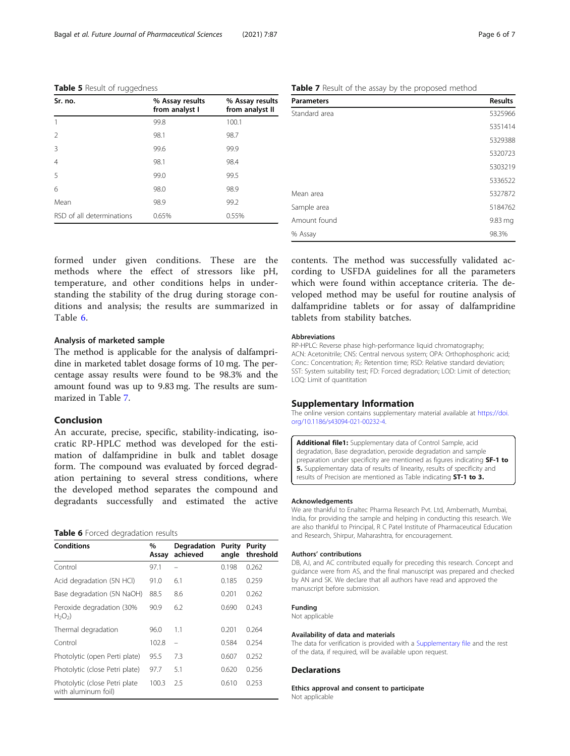#### <span id="page-5-0"></span>Table 5 Result of ruggedness

| Sr. no.                   | % Assay results<br>from analyst I | % Assay results<br>from analyst II |
|---------------------------|-----------------------------------|------------------------------------|
|                           | 99.8                              | 100.1                              |
| $\overline{2}$            | 98.1                              | 98.7                               |
| 3                         | 99.6                              | 99.9                               |
| $\overline{4}$            | 98.1                              | 98.4                               |
| .5                        | 99.0                              | 99.5                               |
| 6                         | 98.0                              | 98.9                               |
| Mean                      | 98.9                              | 99.2                               |
| RSD of all determinations | 0.65%                             | 0.55%                              |

formed under given conditions. These are the methods where the effect of stressors like pH, temperature, and other conditions helps in understanding the stability of the drug during storage conditions and analysis; the results are summarized in Table 6.

#### Analysis of marketed sample

The method is applicable for the analysis of dalfampridine in marketed tablet dosage forms of 10 mg. The percentage assay results were found to be 98.3% and the amount found was up to 9.83 mg. The results are summarized in Table 7.

#### Conclusion

An accurate, precise, specific, stability-indicating, isocratic RP-HPLC method was developed for the estimation of dalfampridine in bulk and tablet dosage form. The compound was evaluated by forced degradation pertaining to several stress conditions, where the developed method separates the compound and degradants successfully and estimated the active

#### Table 6 Forced degradation results

| <b>Conditions</b>                                     | $\%$<br>Assay | Degradation<br>achieved | Purity<br>angle | Purity<br>threshold |
|-------------------------------------------------------|---------------|-------------------------|-----------------|---------------------|
| Control                                               | 97.1          |                         | 0.198           | 0.262               |
| Acid degradation (5N HCl)                             | 91.0          | 6.1                     | 0.185           | 0.259               |
| Base degradation (5N NaOH)                            | 88.5          | 8.6                     | 0.201           | 0.262               |
| Peroxide degradation (30%<br>$H_2O_2$                 | 90.9          | 6.2                     | 0.690           | 0.243               |
| Thermal degradation                                   | 96.0          | 1.1                     | 0.201           | 0.264               |
| Control                                               | 102.8         |                         | 0.584           | 0.254               |
| Photolytic (open Perti plate)                         | 95.5          | 7.3                     | 0.607           | 0.252               |
| Photolytic (close Petri plate)                        | 97.7          | 5.1                     | 0.620           | 0.256               |
| Photolytic (close Petri plate)<br>with aluminum foil) | 100.3         | 2.5                     | 0.610           | 0.253               |

Table 7 Result of the assay by the proposed method

| <b>Parameters</b> | <b>Results</b> |
|-------------------|----------------|
| Standard area     | 5325966        |
|                   | 5351414        |
|                   | 5329388        |
|                   | 5320723        |
|                   | 5303219        |
|                   | 5336522        |
| Mean area         | 5327872        |
| Sample area       | 5184762        |
| Amount found      | 9.83 mg        |
| % Assay           | 98.3%          |

contents. The method was successfully validated according to USFDA guidelines for all the parameters which were found within acceptance criteria. The developed method may be useful for routine analysis of dalfampridine tablets or for assay of dalfampridine tablets from stability batches.

#### Abbreviations

RP-HPLC: Reverse phase high-performance liquid chromatography; ACN: Acetonitrile; CNS: Central nervous system; OPA: Orthophosphoric acid; Conc.: Concentration;  $R_T$ : Retention time; RSD: Relative standard deviation; SST: System suitability test; FD: Forced degradation; LOD: Limit of detection; LOQ: Limit of quantitation

#### Supplementary Information

The online version contains supplementary material available at [https://doi.](https://doi.org/10.1186/s43094-021-00232-4) [org/10.1186/s43094-021-00232-4.](https://doi.org/10.1186/s43094-021-00232-4)

Additional file1: Supplementary data of Control Sample, acid degradation, Base degradation, peroxide degradation and sample preparation under specificity are mentioned as figures indicating SF-1 to 5. Supplementary data of results of linearity, results of specificity and results of Precision are mentioned as Table indicating ST-1 to 3.

#### Acknowledgements

We are thankful to Enaltec Pharma Research Pvt. Ltd, Ambernath, Mumbai, India, for providing the sample and helping in conducting this research. We are also thankful to Principal, R C Patel Institute of Pharmaceutical Education and Research, Shirpur, Maharashtra, for encouragement.

#### Authors' contributions

DB, AJ, and AC contributed equally for preceding this research. Concept and guidance were from AS, and the final manuscript was prepared and checked by AN and SK. We declare that all authors have read and approved the manuscript before submission.

#### Funding

Not applicable

#### Availability of data and materials

The data for verification is provided with a Supplementary file and the rest of the data, if required, will be available upon request.

#### Declarations

Ethics approval and consent to participate Not applicable